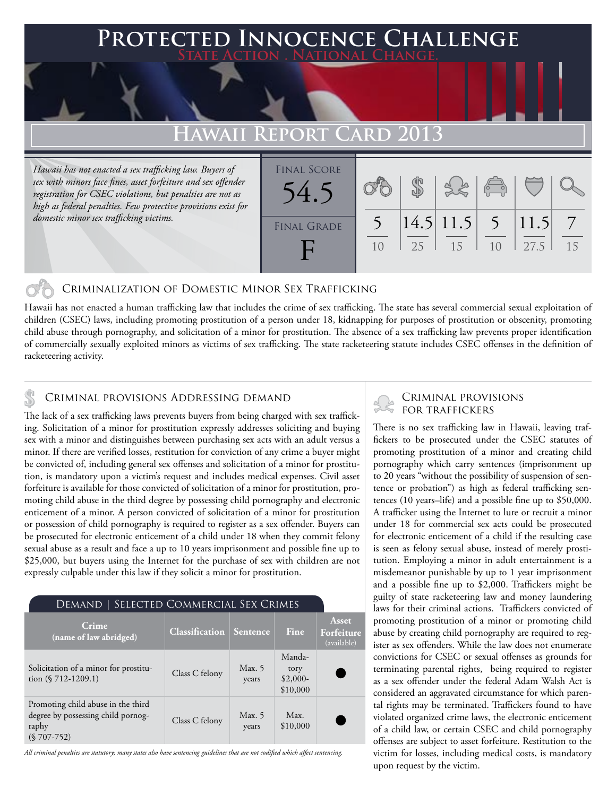## **PTED INNOCENCE CHALLENGE State Action . National Change.**

# **REPORT CARD 2013**

*Hawaii has not enacted a sex trafficking law. Buyers of sex with minors face fines, asset forfeiture and sex offender registration for CSEC violations, but penalties are not as high as federal penalties. Few protective provisions exist for domestic minor sex trafficking victims.*



## Criminalization of Domestic Minor Sex Trafficking

Hawaii has not enacted a human trafficking law that includes the crime of sex trafficking. The state has several commercial sexual exploitation of children (CSEC) laws, including promoting prostitution of a person under 18, kidnapping for purposes of prostitution or obscenity, promoting child abuse through pornography, and solicitation of a minor for prostitution. The absence of a sex trafficking law prevents proper identification of commercially sexually exploited minors as victims of sex trafficking. The state racketeering statute includes CSEC offenses in the definition of racketeering activity.

## Criminal provisions Addressing demand

The lack of a sex trafficking laws prevents buyers from being charged with sex trafficking. Solicitation of a minor for prostitution expressly addresses soliciting and buying sex with a minor and distinguishes between purchasing sex acts with an adult versus a minor. If there are verified losses, restitution for conviction of any crime a buyer might be convicted of, including general sex offenses and solicitation of a minor for prostitution, is mandatory upon a victim's request and includes medical expenses. Civil asset forfeiture is available for those convicted of solicitation of a minor for prostitution, promoting child abuse in the third degree by possessing child pornography and electronic enticement of a minor. A person convicted of solicitation of a minor for prostitution or possession of child pornography is required to register as a sex offender. Buyers can be prosecuted for electronic enticement of a child under 18 when they commit felony sexual abuse as a result and face a up to 10 years imprisonment and possible fine up to \$25,000, but buyers using the Internet for the purchase of sex with children are not expressly culpable under this law if they solicit a minor for prostitution.

| DEMAND   SELECTED COMMERCIAL SEX CRIMES                                                           |                       |                   |                                         |                                    |
|---------------------------------------------------------------------------------------------------|-----------------------|-------------------|-----------------------------------------|------------------------------------|
| Crime<br>(name of law abridged)                                                                   | <b>Classification</b> | Sentence          | Fine                                    | Asset<br>Forfeiture<br>(available) |
| Solicitation of a minor for prostitu-<br>tion $(\$ 712-1209.1)$                                   | Class C felony        | Max. $5$<br>years | Manda-<br>tory<br>$$2,000-$<br>\$10,000 |                                    |
| Promoting child abuse in the third<br>degree by possessing child pornog-<br>raphy<br>$(S707-752)$ | Class C felony        | Max. $5$<br>years | Max.<br>\$10,000                        |                                    |

*All criminal penalties are statutory; many states also have sentencing guidelines that are not codified which affect sentencing.* 

# Criminal provisions

There is no sex trafficking law in Hawaii, leaving traffickers to be prosecuted under the CSEC statutes of promoting prostitution of a minor and creating child pornography which carry sentences (imprisonment up to 20 years "without the possibility of suspension of sentence or probation") as high as federal trafficking sentences (10 years–life) and a possible fine up to \$50,000. A trafficker using the Internet to lure or recruit a minor under 18 for commercial sex acts could be prosecuted for electronic enticement of a child if the resulting case is seen as felony sexual abuse, instead of merely prostitution. Employing a minor in adult entertainment is a misdemeanor punishable by up to 1 year imprisonment and a possible fine up to \$2,000. Traffickers might be guilty of state racketeering law and money laundering laws for their criminal actions. Traffickers convicted of promoting prostitution of a minor or promoting child abuse by creating child pornography are required to register as sex offenders. While the law does not enumerate convictions for CSEC or sexual offenses as grounds for terminating parental rights, being required to register as a sex offender under the federal Adam Walsh Act is considered an aggravated circumstance for which parental rights may be terminated. Traffickers found to have violated organized crime laws, the electronic enticement of a child law, or certain CSEC and child pornography offenses are subject to asset forfeiture. Restitution to the victim for losses, including medical costs, is mandatory upon request by the victim.